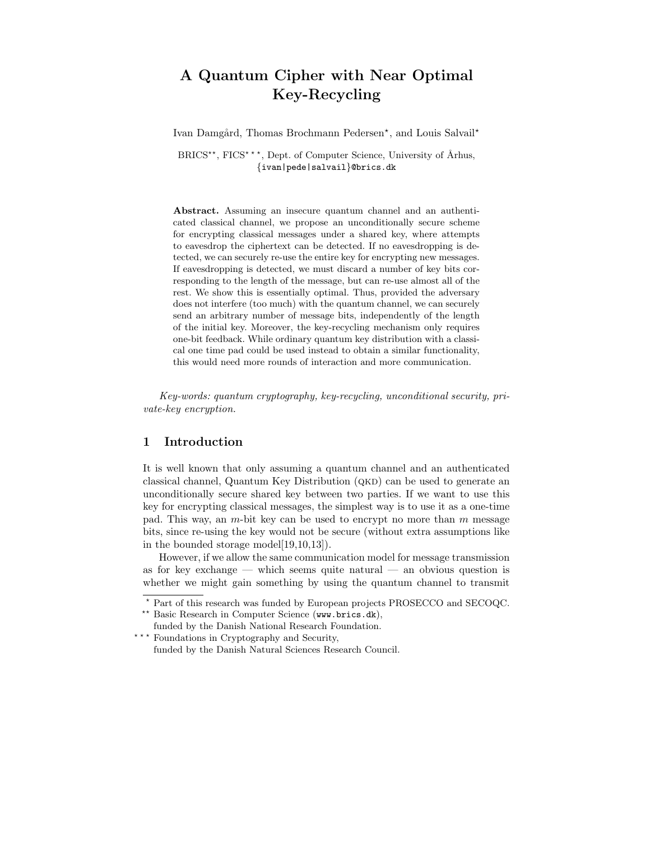# A Quantum Cipher with Near Optimal Key-Recycling

Ivan Damgård, Thomas Brochmann Pedersen<sup>\*</sup>, and Louis Salvail<sup>\*</sup>

BRICS<sup>\*\*</sup>, FICS<sup>\*\*\*</sup>, Dept. of Computer Science, University of Århus, {ivan|pede|salvail}@brics.dk

Abstract. Assuming an insecure quantum channel and an authenticated classical channel, we propose an unconditionally secure scheme for encrypting classical messages under a shared key, where attempts to eavesdrop the ciphertext can be detected. If no eavesdropping is detected, we can securely re-use the entire key for encrypting new messages. If eavesdropping is detected, we must discard a number of key bits corresponding to the length of the message, but can re-use almost all of the rest. We show this is essentially optimal. Thus, provided the adversary does not interfere (too much) with the quantum channel, we can securely send an arbitrary number of message bits, independently of the length of the initial key. Moreover, the key-recycling mechanism only requires one-bit feedback. While ordinary quantum key distribution with a classical one time pad could be used instead to obtain a similar functionality, this would need more rounds of interaction and more communication.

Key-words: quantum cryptography, key-recycling, unconditional security, private-key encryption.

# 1 Introduction

It is well known that only assuming a quantum channel and an authenticated classical channel, Quantum Key Distribution (QKD) can be used to generate an unconditionally secure shared key between two parties. If we want to use this key for encrypting classical messages, the simplest way is to use it as a one-time pad. This way, an m-bit key can be used to encrypt no more than  $m$  message bits, since re-using the key would not be secure (without extra assumptions like in the bounded storage model[19,10,13]).

However, if we allow the same communication model for message transmission as for key exchange — which seems quite natural — an obvious question is whether we might gain something by using the quantum channel to transmit

 $**$  Basic Research in Computer Science (www.brics.dk), funded by the Danish National Research Foundation.

<sup>?</sup> Part of this research was funded by European projects PROSECCO and SECOQC.

 $^{\star\;\star\;\star}$  Foundations in Cryptography and Security, funded by the Danish Natural Sciences Research Council.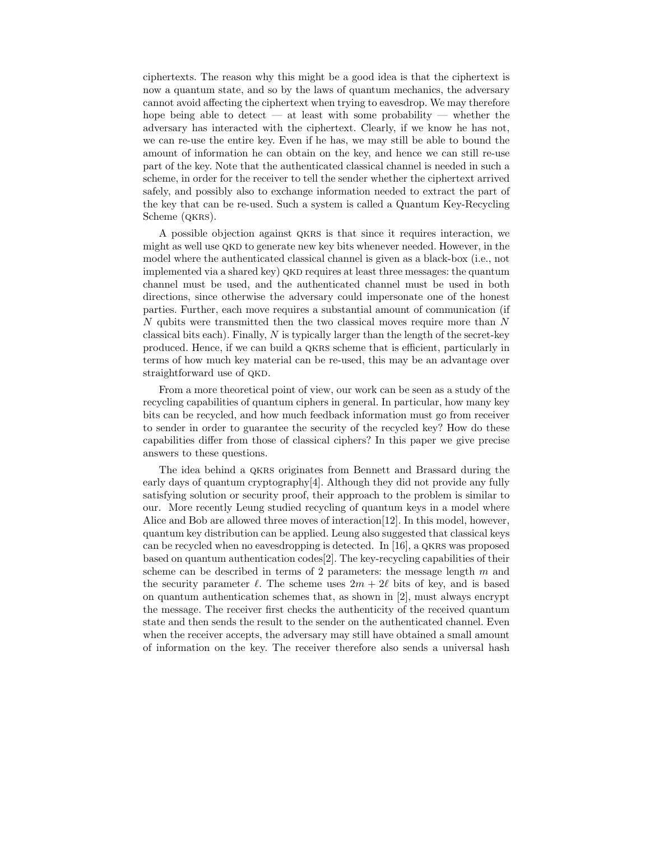ciphertexts. The reason why this might be a good idea is that the ciphertext is now a quantum state, and so by the laws of quantum mechanics, the adversary cannot avoid affecting the ciphertext when trying to eavesdrop. We may therefore hope being able to detect  $-$  at least with some probability  $-$  whether the adversary has interacted with the ciphertext. Clearly, if we know he has not, we can re-use the entire key. Even if he has, we may still be able to bound the amount of information he can obtain on the key, and hence we can still re-use part of the key. Note that the authenticated classical channel is needed in such a scheme, in order for the receiver to tell the sender whether the ciphertext arrived safely, and possibly also to exchange information needed to extract the part of the key that can be re-used. Such a system is called a Quantum Key-Recycling Scheme (QKRS).

A possible objection against qkrs is that since it requires interaction, we might as well use QKD to generate new key bits whenever needed. However, in the model where the authenticated classical channel is given as a black-box (i.e., not implemented via a shared key) qkd requires at least three messages: the quantum channel must be used, and the authenticated channel must be used in both directions, since otherwise the adversary could impersonate one of the honest parties. Further, each move requires a substantial amount of communication (if N qubits were transmitted then the two classical moves require more than N classical bits each). Finally,  $N$  is typically larger than the length of the secret-key produced. Hence, if we can build a qkrs scheme that is efficient, particularly in terms of how much key material can be re-used, this may be an advantage over straightforward use of QKD.

From a more theoretical point of view, our work can be seen as a study of the recycling capabilities of quantum ciphers in general. In particular, how many key bits can be recycled, and how much feedback information must go from receiver to sender in order to guarantee the security of the recycled key? How do these capabilities differ from those of classical ciphers? In this paper we give precise answers to these questions.

The idea behind a qkrs originates from Bennett and Brassard during the early days of quantum cryptography[4]. Although they did not provide any fully satisfying solution or security proof, their approach to the problem is similar to our. More recently Leung studied recycling of quantum keys in a model where Alice and Bob are allowed three moves of interaction[12]. In this model, however, quantum key distribution can be applied. Leung also suggested that classical keys can be recycled when no eavesdropping is detected. In  $[16]$ , a QKRS was proposed based on quantum authentication codes[2]. The key-recycling capabilities of their scheme can be described in terms of 2 parameters: the message length  $m$  and the security parameter  $\ell$ . The scheme uses  $2m + 2\ell$  bits of key, and is based on quantum authentication schemes that, as shown in [2], must always encrypt the message. The receiver first checks the authenticity of the received quantum state and then sends the result to the sender on the authenticated channel. Even when the receiver accepts, the adversary may still have obtained a small amount of information on the key. The receiver therefore also sends a universal hash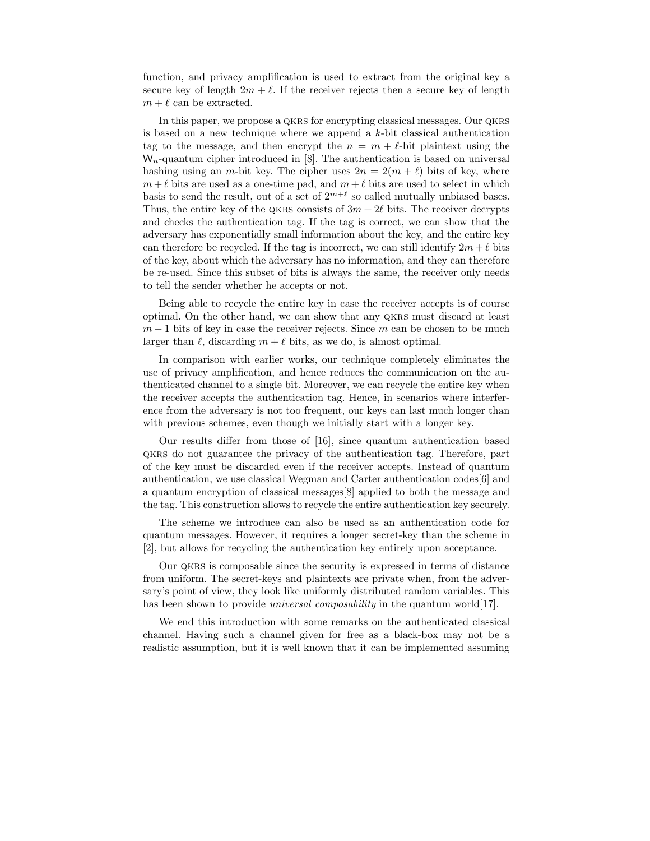function, and privacy amplification is used to extract from the original key a secure key of length  $2m + \ell$ . If the receiver rejects then a secure key of length  $m + \ell$  can be extracted.

In this paper, we propose a QKRS for encrypting classical messages. Our QKRS is based on a new technique where we append a  $k$ -bit classical authentication tag to the message, and then encrypt the  $n = m + \ell$ -bit plaintext using the  $W_n$ -quantum cipher introduced in [8]. The authentication is based on universal hashing using an m-bit key. The cipher uses  $2n = 2(m + \ell)$  bits of key, where  $m + \ell$  bits are used as a one-time pad, and  $m + \ell$  bits are used to select in which basis to send the result, out of a set of  $2^{m+\ell}$  so called mutually unbiased bases. Thus, the entire key of the QKRS consists of  $3m + 2\ell$  bits. The receiver decrypts and checks the authentication tag. If the tag is correct, we can show that the adversary has exponentially small information about the key, and the entire key can therefore be recycled. If the tag is incorrect, we can still identify  $2m + \ell$  bits of the key, about which the adversary has no information, and they can therefore be re-used. Since this subset of bits is always the same, the receiver only needs to tell the sender whether he accepts or not.

Being able to recycle the entire key in case the receiver accepts is of course optimal. On the other hand, we can show that any qkrs must discard at least  $m-1$  bits of key in case the receiver rejects. Since m can be chosen to be much larger than  $\ell$ , discarding  $m + \ell$  bits, as we do, is almost optimal.

In comparison with earlier works, our technique completely eliminates the use of privacy amplification, and hence reduces the communication on the authenticated channel to a single bit. Moreover, we can recycle the entire key when the receiver accepts the authentication tag. Hence, in scenarios where interference from the adversary is not too frequent, our keys can last much longer than with previous schemes, even though we initially start with a longer key.

Our results differ from those of [16], since quantum authentication based qkrs do not guarantee the privacy of the authentication tag. Therefore, part of the key must be discarded even if the receiver accepts. Instead of quantum authentication, we use classical Wegman and Carter authentication codes[6] and a quantum encryption of classical messages[8] applied to both the message and the tag. This construction allows to recycle the entire authentication key securely.

The scheme we introduce can also be used as an authentication code for quantum messages. However, it requires a longer secret-key than the scheme in [2], but allows for recycling the authentication key entirely upon acceptance.

Our qkrs is composable since the security is expressed in terms of distance from uniform. The secret-keys and plaintexts are private when, from the adversary's point of view, they look like uniformly distributed random variables. This has been shown to provide *universal composability* in the quantum world[17].

We end this introduction with some remarks on the authenticated classical channel. Having such a channel given for free as a black-box may not be a realistic assumption, but it is well known that it can be implemented assuming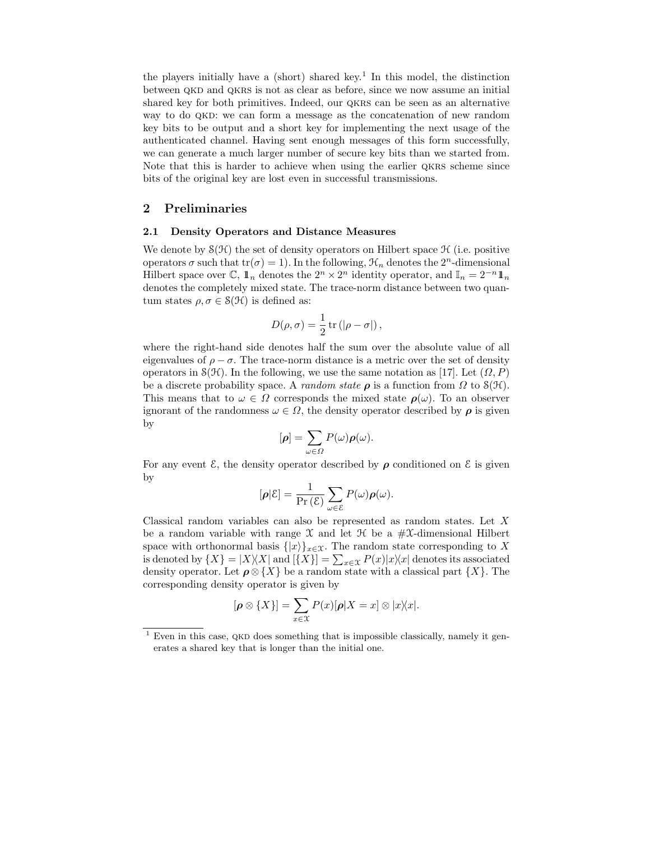the players initially have a (short) shared key. 1 In this model, the distinction between qkd and qkrs is not as clear as before, since we now assume an initial shared key for both primitives. Indeed, our qkrs can be seen as an alternative way to do QKD: we can form a message as the concatenation of new random key bits to be output and a short key for implementing the next usage of the authenticated channel. Having sent enough messages of this form successfully, we can generate a much larger number of secure key bits than we started from. Note that this is harder to achieve when using the earlier qkrs scheme since bits of the original key are lost even in successful transmissions.

## 2 Preliminaries

#### 2.1 Density Operators and Distance Measures

We denote by  $\mathcal{S}(\mathcal{H})$  the set of density operators on Hilbert space  $\mathcal{H}$  (i.e. positive operators  $\sigma$  such that  $tr(\sigma) = 1$ ). In the following,  $\mathcal{H}_n$  denotes the  $2^n$ -dimensional Hilbert space over  $\mathbb{C}$ ,  $\mathbb{1}_n$  denotes the  $2^n \times 2^n$  identity operator, and  $\mathbb{I}_n = 2^{-n} \mathbb{1}_n$ denotes the completely mixed state. The trace-norm distance between two quantum states  $\rho, \sigma \in \mathcal{S}(\mathcal{H})$  is defined as:

$$
D(\rho, \sigma) = \frac{1}{2} \operatorname{tr} \left( \left| \rho - \sigma \right| \right),\,
$$

where the right-hand side denotes half the sum over the absolute value of all eigenvalues of  $\rho - \sigma$ . The trace-norm distance is a metric over the set of density operators in  $\mathcal{S}(\mathcal{H})$ . In the following, we use the same notation as [17]. Let  $(\Omega, P)$ be a discrete probability space. A *random state*  $\rho$  is a function from  $\Omega$  to  $\mathcal{S}(\mathcal{H})$ . This means that to  $\omega \in \Omega$  corresponds the mixed state  $\rho(\omega)$ . To an observer ignorant of the randomness  $\omega \in \Omega$ , the density operator described by  $\rho$  is given by

$$
[\boldsymbol{\rho}] = \sum_{\omega \in \Omega} P(\omega) \boldsymbol{\rho}(\omega).
$$

For any event  $\mathcal{E}$ , the density operator described by  $\rho$  conditioned on  $\mathcal{E}$  is given by

$$
[\boldsymbol{\rho}|\mathcal{E}] = \frac{1}{\Pr(\mathcal{E})} \sum_{\omega \in \mathcal{E}} P(\omega) \boldsymbol{\rho}(\omega).
$$

Classical random variables can also be represented as random states. Let X be a random variable with range  $\mathfrak X$  and let  $\mathfrak H$  be a  $\#\mathfrak X$ -dimensional Hilbert space with orthonormal basis  $\{|x\rangle\}_{x\in\mathcal{X}}$ . The random state corresponding to X is denoted by  $\{X\} = |X\rangle\langle X|$  and  $[\{X\}] = \sum_{x\in\mathfrak{X}} P(x)|x\rangle\langle x|$  denotes its associated density operator. Let  $\rho \otimes \{X\}$  be a random state with a classical part  $\{X\}$ . The corresponding density operator is given by

$$
[\boldsymbol{\rho} \otimes \{X\}] = \sum_{x \in \mathcal{X}} P(x) [\boldsymbol{\rho} | X = x] \otimes |x \rangle \langle x|.
$$

Even in this case, QKD does something that is impossible classically, namely it generates a shared key that is longer than the initial one.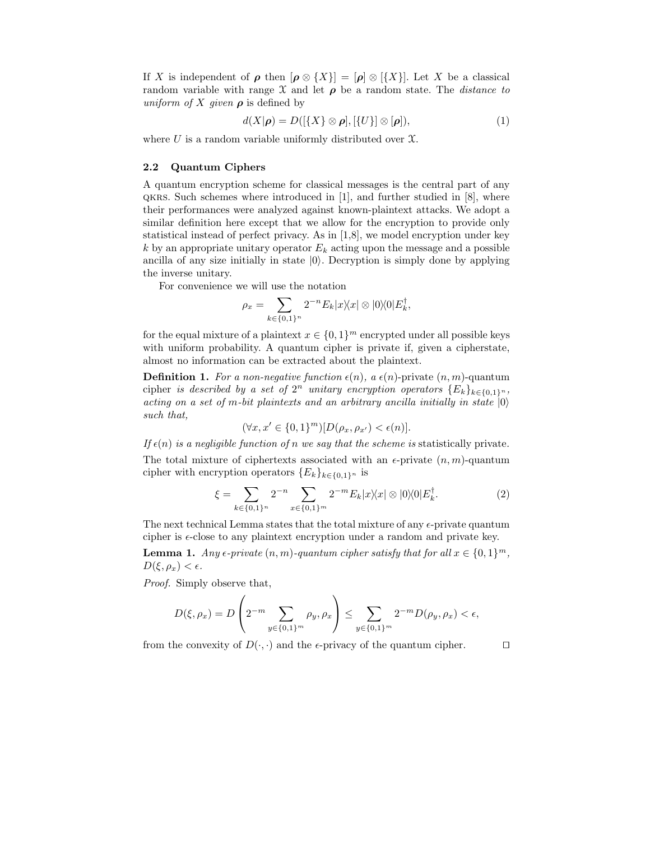If X is independent of  $\rho$  then  $[\rho \otimes \{X\}] = [\rho] \otimes [\{X\}]$ . Let X be a classical random variable with range  $\mathfrak X$  and let  $\rho$  be a random state. The *distance to* uniform of X given  $\rho$  is defined by

$$
d(X|\boldsymbol{\rho}) = D([\{X\} \otimes \boldsymbol{\rho}], [\{U\}] \otimes [\boldsymbol{\rho}]), \tag{1}
$$

where  $U$  is a random variable uniformly distributed over  $\mathfrak{X}$ .

## 2.2 Quantum Ciphers

A quantum encryption scheme for classical messages is the central part of any qkrs. Such schemes where introduced in [1], and further studied in [8], where their performances were analyzed against known-plaintext attacks. We adopt a similar definition here except that we allow for the encryption to provide only statistical instead of perfect privacy. As in [1,8], we model encryption under key k by an appropriate unitary operator  $E_k$  acting upon the message and a possible ancilla of any size initially in state  $|0\rangle$ . Decryption is simply done by applying the inverse unitary.

For convenience we will use the notation

$$
\rho_x = \sum_{k \in \{0,1\}^n} 2^{-n} E_k |x\rangle\langle x| \otimes |0\rangle\langle 0| E_k^{\dagger},
$$

for the equal mixture of a plaintext  $x \in \{0,1\}^m$  encrypted under all possible keys with uniform probability. A quantum cipher is private if, given a cipherstate, almost no information can be extracted about the plaintext.

**Definition 1.** For a non-negative function  $\epsilon(n)$ ,  $a \epsilon(n)$ -private  $(n, m)$ -quantum cipher is described by a set of  $2^n$  unitary encryption operators  $\{E_k\}_{k\in\{0,1\}^n}$ , acting on a set of m-bit plaintexts and an arbitrary ancilla initially in state  $|0\rangle$ such that,

$$
(\forall x, x' \in \{0,1\}^m)[D(\rho_x, \rho_{x'}) < \epsilon(n)].
$$

If  $\epsilon(n)$  is a negligible function of n we say that the scheme is statistically private.

The total mixture of ciphertexts associated with an  $\epsilon$ -private  $(n, m)$ -quantum cipher with encryption operators  ${E_k}_{k \in \{0,1\}^n}$  is

$$
\xi = \sum_{k \in \{0,1\}^n} 2^{-n} \sum_{x \in \{0,1\}^m} 2^{-m} E_k |x \rangle \langle x| \otimes |0 \rangle \langle 0| E_k^{\dagger}.
$$
 (2)

The next technical Lemma states that the total mixture of any  $\epsilon$ -private quantum cipher is  $\epsilon$ -close to any plaintext encryption under a random and private key.

**Lemma 1.** Any  $\epsilon$ -private  $(n, m)$ -quantum cipher satisfy that for all  $x \in \{0, 1\}^m$ ,  $D(\xi, \rho_x) < \epsilon$ .

Proof. Simply observe that,

$$
D(\xi, \rho_x) = D\left(2^{-m} \sum_{y \in \{0,1\}^m} \rho_y, \rho_x\right) \le \sum_{y \in \{0,1\}^m} 2^{-m} D(\rho_y, \rho_x) < \epsilon,
$$

from the convexity of  $D(\cdot, \cdot)$  and the  $\epsilon$ -privacy of the quantum cipher.  $\square$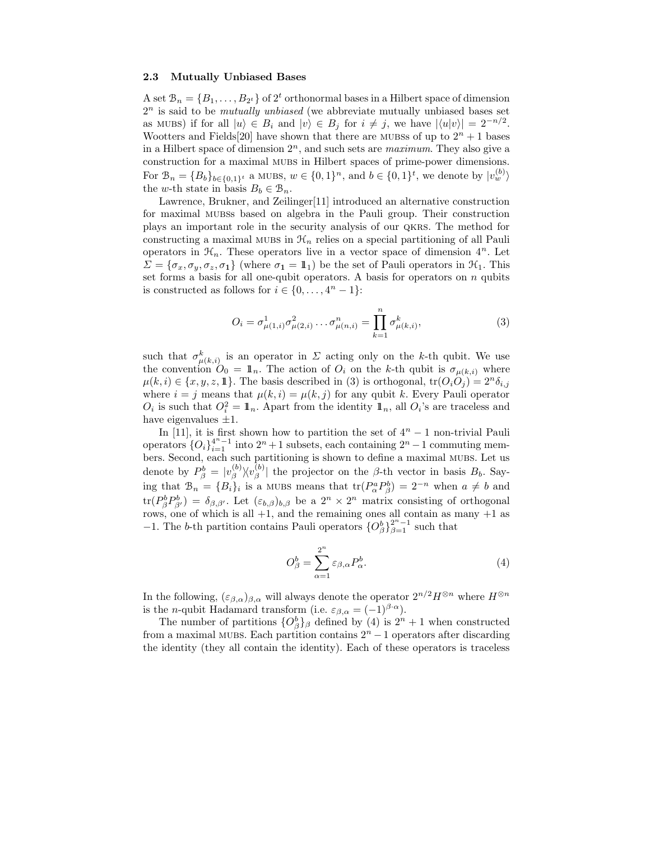#### 2.3 Mutually Unbiased Bases

A set  $\mathcal{B}_n = \{B_1, \ldots, B_{2^t}\}\$  of  $2^t$  orthonormal bases in a Hilbert space of dimension  $2^n$  is said to be *mutually unbiased* (we abbreviate mutually unbiased bases set as MUBS) if for all  $|u\rangle \in B_i$  and  $|v\rangle \in B_j$  for  $i \neq j$ , we have  $|\langle u|v\rangle| = 2^{-n/2}$ . Wootters and Fields [20] have shown that there are MUBSs of up to  $2^n + 1$  bases in a Hilbert space of dimension  $2^n$ , and such sets are *maximum*. They also give a construction for a maximal mubs in Hilbert spaces of prime-power dimensions. For  $\mathcal{B}_n = \{B_b\}_{b \in \{0,1\}^t}$  a MUBS,  $w \in \{0,1\}^n$ , and  $b \in \{0,1\}^t$ , we denote by  $|v_w^{(b)}\rangle$ the w-th state in basis  $B_b \in \mathcal{B}_n$ .

Lawrence, Brukner, and Zeilinger<sup>[11]</sup> introduced an alternative construction for maximal mubss based on algebra in the Pauli group. Their construction plays an important role in the security analysis of our qkrs. The method for constructing a maximal MUBS in  $\mathcal{H}_n$  relies on a special partitioning of all Pauli operators in  $\mathcal{H}_n$ . These operators live in a vector space of dimension  $4^n$ . Let  $\Sigma = {\sigma_x, \sigma_y, \sigma_z, \sigma_1}$  (where  $\sigma_1 = 1_1$ ) be the set of Pauli operators in  $\mathcal{H}_1$ . This set forms a basis for all one-qubit operators. A basis for operators on  $n$  qubits is constructed as follows for  $i \in \{0, \ldots, 4^n - 1\}$ :

$$
O_i = \sigma^1_{\mu(1,i)} \sigma^2_{\mu(2,i)} \dots \sigma^n_{\mu(n,i)} = \prod_{k=1}^n \sigma^k_{\mu(k,i)},
$$
\n(3)

such that  $\sigma_{\mu(k,i)}^k$  is an operator in  $\Sigma$  acting only on the k-th qubit. We use the convention  $O_0 = \mathbb{1}_n$ . The action of  $O_i$  on the k-th qubit is  $\sigma_{\mu(k,i)}$  where  $\mu(k,i) \in \{x, y, z, 1\}$ . The basis described in (3) is orthogonal,  $\text{tr}(O_i O_j) = 2^n \delta_{i,j}$ where  $i = j$  means that  $\mu(k, i) = \mu(k, j)$  for any qubit k. Every Pauli operator  $O_i$  is such that  $O_i^2 = \mathbb{1}_n$ . Apart from the identity  $\mathbb{1}_n$ , all  $O_i$ 's are traceless and have eigenvalues  $\pm 1$ .

In [11], it is first shown how to partition the set of  $4<sup>n</sup> - 1$  non-trivial Pauli operators  $\{O_i\}_{i=1}^{4^n-1}$  into  $2^n+1$  subsets, each containing  $2^n-1$  commuting members. Second, each such partitioning is shown to define a maximal mubs. Let us denote by  $P_{\beta}^{b} = |v_{\beta}^{(b)}|$  $\overset{(b)}{\beta}\rangle\!\langle v^{(b)}_{\beta}$  $\beta_{\beta}^{(0)}$  the projector on the  $\beta$ -th vector in basis  $B_b$ . Saying that  $\mathcal{B}_n = \{B_i\}_i$  is a MUBS means that  $\text{tr}(P^a_{\alpha}P^b_{\beta}) = 2^{-n}$  when  $a \neq b$  and  $\text{tr}(P^b_{\beta}P^b_{\beta'}) = \delta_{\beta,\beta'}$ . Let  $(\varepsilon_{b,\beta})_{b,\beta}$  be a  $2^n \times 2^n$  matrix consisting of orthogonal rows, one of which is all  $+1$ , and the remaining ones all contain as many  $+1$  as −1. The b-th partition contains Pauli operators  ${O_{\beta}^{b}}_{\beta=1}^{2^{n}-1}$  such that

$$
O_{\beta}^{b} = \sum_{\alpha=1}^{2^{n}} \varepsilon_{\beta,\alpha} P_{\alpha}^{b}.
$$
 (4)

In the following,  $(\varepsilon_{\beta,\alpha})_{\beta,\alpha}$  will always denote the operator  $2^{n/2}H^{\otimes n}$  where  $H^{\otimes n}$ is the *n*-qubit Hadamard transform (i.e.  $\varepsilon_{\beta,\alpha} = (-1)^{\beta \cdot \alpha}$ ).

The number of partitions  ${O^b_\beta}_\beta$  defined by (4) is  $2^n + 1$  when constructed from a maximal MUBS. Each partition contains  $2<sup>n</sup> - 1$  operators after discarding the identity (they all contain the identity). Each of these operators is traceless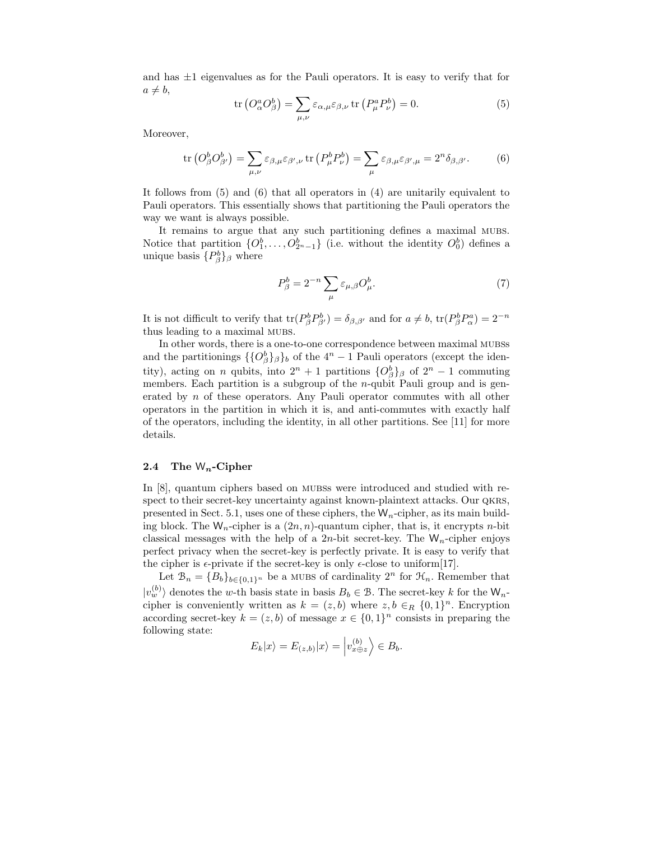and has  $\pm 1$  eigenvalues as for the Pauli operators. It is easy to verify that for  $a \neq b$ ,

$$
\operatorname{tr}\left(O_{\alpha}^{a}O_{\beta}^{b}\right)=\sum_{\mu,\nu}\varepsilon_{\alpha,\mu}\varepsilon_{\beta,\nu}\operatorname{tr}\left(P_{\mu}^{a}P_{\nu}^{b}\right)=0.\tag{5}
$$

Moreover,

$$
\operatorname{tr}\left(O_{\beta}^{b}O_{\beta'}^{b}\right)=\sum_{\mu,\nu}\varepsilon_{\beta,\mu}\varepsilon_{\beta',\nu}\operatorname{tr}\left(P_{\mu}^{b}P_{\nu}^{b}\right)=\sum_{\mu}\varepsilon_{\beta,\mu}\varepsilon_{\beta',\mu}=2^{n}\delta_{\beta,\beta'}.\tag{6}
$$

It follows from (5) and (6) that all operators in (4) are unitarily equivalent to Pauli operators. This essentially shows that partitioning the Pauli operators the way we want is always possible.

It remains to argue that any such partitioning defines a maximal mubs. Notice that partition  $\{O_1^b, \ldots, O_{2^n-1}^b\}$  (i.e. without the identity  $O_0^b$ ) defines a unique basis  $\{P^b_\beta\}_\beta$  where

$$
P_{\beta}^{b} = 2^{-n} \sum_{\mu} \varepsilon_{\mu,\beta} O_{\mu}^{b}.
$$
 (7)

It is not difficult to verify that  $tr(P^b_{\beta}P^b_{\beta'}) = \delta_{\beta,\beta'}$  and for  $a \neq b$ ,  $tr(P^b_{\beta}P^a_{\alpha}) = 2^{-n}$ thus leading to a maximal mubs.

In other words, there is a one-to-one correspondence between maximal mubss and the partitionings  $\{\{O_{\beta}^b\}_{\beta}\}_b$  of the  $4^n - 1$  Pauli operators (except the identity), acting on *n* qubits, into  $2^n + 1$  partitions  ${O_\beta^b}_{\beta}$  of  $2^n - 1$  commuting members. Each partition is a subgroup of the  $n$ -qubit Pauli group and is generated by n of these operators. Any Pauli operator commutes with all other operators in the partition in which it is, and anti-commutes with exactly half of the operators, including the identity, in all other partitions. See [11] for more details.

# 2.4 The  $W_n$ -Cipher

In  $[8]$ , quantum ciphers based on MUBSs were introduced and studied with respect to their secret-key uncertainty against known-plaintext attacks. Our qkrs, presented in Sect. 5.1, uses one of these ciphers, the  $W_n$ -cipher, as its main building block. The  $W_n$ -cipher is a  $(2n, n)$ -quantum cipher, that is, it encrypts *n*-bit classical messages with the help of a 2n-bit secret-key. The  $W_n$ -cipher enjoys perfect privacy when the secret-key is perfectly private. It is easy to verify that the cipher is  $\epsilon$ -private if the secret-key is only  $\epsilon$ -close to uniform[17].

Let  $\mathcal{B}_n = \{B_b\}_{b \in \{0,1\}^n}$  be a MUBS of cardinality  $2^n$  for  $\mathcal{H}_n$ . Remember that  $|v_w^{(b)}\rangle$  denotes the w-th basis state in basis  $B_b \in \mathcal{B}$ . The secret-key k for the  $\mathsf{W}_{n}$ cipher is conveniently written as  $k = (z, b)$  where  $z, b \in_R \{0, 1\}^n$ . Encryption according secret-key  $k = (z, b)$  of message  $x \in \{0, 1\}^n$  consists in preparing the following state:

$$
E_k|x\rangle = E_{(z,b)}|x\rangle = \left|v_{x\oplus z}^{(b)}\right\rangle \in B_b.
$$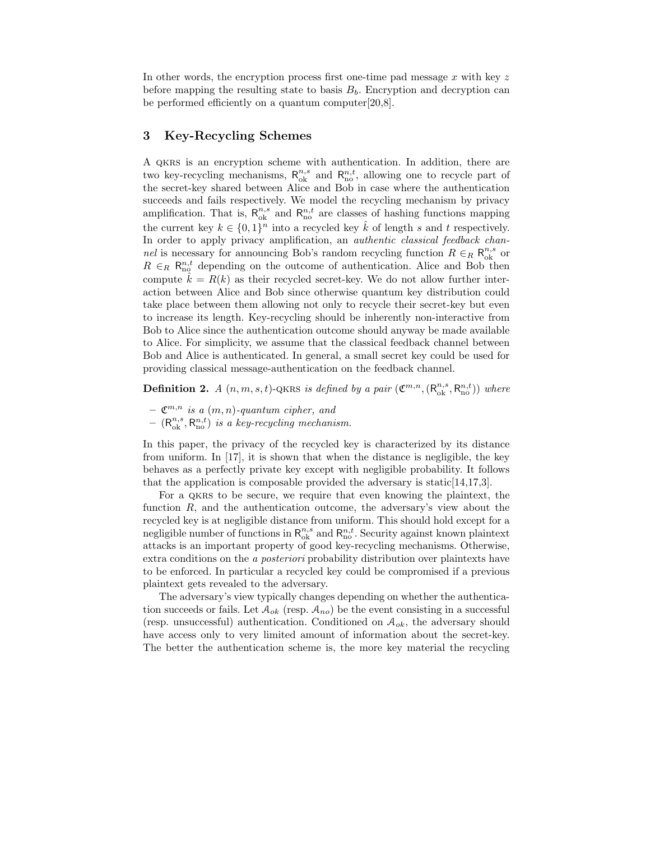In other words, the encryption process first one-time pad message x with key  $z$ before mapping the resulting state to basis  $B_b$ . Encryption and decryption can be performed efficiently on a quantum computer[20,8].

# 3 Key-Recycling Schemes

A qkrs is an encryption scheme with authentication. In addition, there are two key-recycling mechanisms,  $R_{ok}^{n,s}$  and  $R_{no}^{n,t}$ , allowing one to recycle part of the secret-key shared between Alice and Bob in case where the authentication succeeds and fails respectively. We model the recycling mechanism by privacy amplification. That is,  $\mathsf{R}^{n,s}_{ok}$  and  $\mathsf{R}^{n,t}_{\text{no}}$  are classes of hashing functions mapping the current key  $k \in \{0,1\}^n$  into a recycled key  $\hat{k}$  of length s and t respectively. In order to apply privacy amplification, an *authentic classical feedback chan*nel is necessary for announcing Bob's random recycling function  $R \in_R \mathsf{R}_{\scriptscriptstyle{\mathrm{ok}}}^{n,s}$  or  $R \in_R \mathbb{R}^{n,t}_{\text{no}}$  depending on the outcome of authentication. Alice and Bob then compute  $\hat{k} = R(k)$  as their recycled secret-key. We do not allow further interaction between Alice and Bob since otherwise quantum key distribution could take place between them allowing not only to recycle their secret-key but even to increase its length. Key-recycling should be inherently non-interactive from Bob to Alice since the authentication outcome should anyway be made available to Alice. For simplicity, we assume that the classical feedback channel between Bob and Alice is authenticated. In general, a small secret key could be used for providing classical message-authentication on the feedback channel.

**Definition 2.** A  $(n, m, s, t)$ -QKRS is defined by a pair  $(\mathfrak{C}^{m,n}, (\mathbb{R}^{n,s}_{ok}, \mathbb{R}^{n,t}_{no}))$  where

- $\mathfrak{C}^{m,n}$  is a  $(m,n)$ -quantum cipher, and
- $(R_{\text{ok}}^{n,s}, R_{\text{no}}^{n,t})$  is a key-recycling mechanism.

In this paper, the privacy of the recycled key is characterized by its distance from uniform. In [17], it is shown that when the distance is negligible, the key behaves as a perfectly private key except with negligible probability. It follows that the application is composable provided the adversary is static[14,17,3].

For a qkrs to be secure, we require that even knowing the plaintext, the function R, and the authentication outcome, the adversary's view about the recycled key is at negligible distance from uniform. This should hold except for a negligible number of functions in  $\mathsf{R}_{\text{ok}}^{n,s}$  and  $\mathsf{R}_{\text{no}}^{n,t}$ . Security against known plaintext attacks is an important property of good key-recycling mechanisms. Otherwise, extra conditions on the a posteriori probability distribution over plaintexts have to be enforced. In particular a recycled key could be compromised if a previous plaintext gets revealed to the adversary.

The adversary's view typically changes depending on whether the authentication succeeds or fails. Let  $A_{ok}$  (resp.  $A_{no}$ ) be the event consisting in a successful (resp. unsuccessful) authentication. Conditioned on  $A_{ok}$ , the adversary should have access only to very limited amount of information about the secret-key. The better the authentication scheme is, the more key material the recycling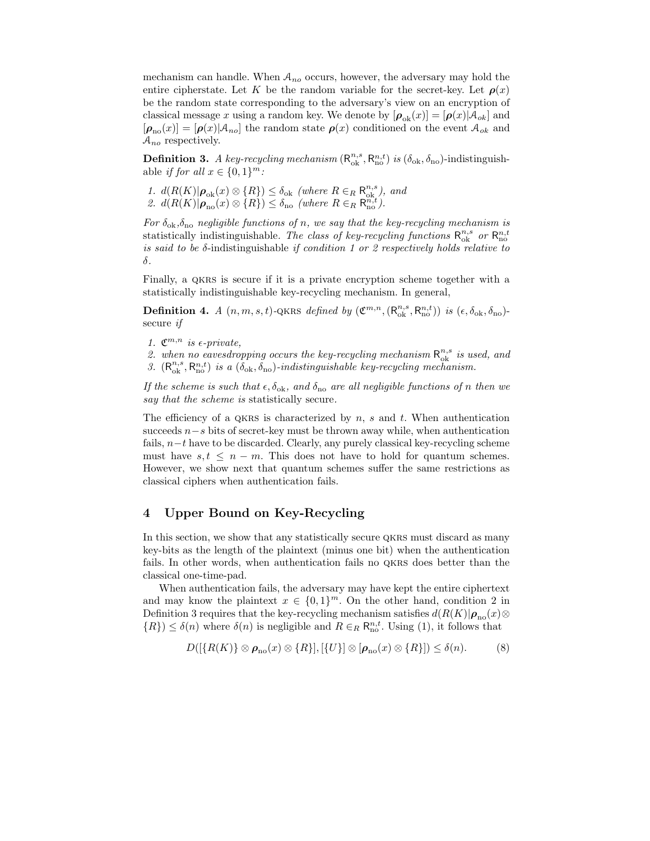mechanism can handle. When  $A_{no}$  occurs, however, the adversary may hold the entire cipherstate. Let K be the random variable for the secret-key. Let  $\rho(x)$ be the random state corresponding to the adversary's view on an encryption of classical message x using a random key. We denote by  $[\rho_{ok}(x)] = [\rho(x)|A_{ok}]$  and  $[\rho_{\rm no}(x)] = [\rho(x)|A_{no}]$  the random state  $\rho(x)$  conditioned on the event  $A_{ok}$  and  $A_{no}$  respectively.

**Definition 3.** A key-recycling mechanism  $(R_{ok}^{n,s}, R_{no}^{n,t})$  is  $(\delta_{ok}, \delta_{no})$ -indistinguishable *if for all*  $x \in \{0, 1\}^m$ :

1.  $d(R(K)|\rho_{ok}(x) \otimes \{R\}) \leq \delta_{ok}$  (where  $R \in_R \mathsf{R}_{ok}^{n,s}$ ), and 2.  $d(R(K)|\rho_{\rm no}(x)\otimes\{R\}) \leq \delta_{\rm no}$  (where  $R \in_R \mathsf{R}_{\rm no}^{n,t}$ ).

For  $\delta_{\rm ok}$ ,  $\delta_{\rm no}$  negligible functions of n, we say that the key-recycling mechanism is statistically indistinguishable. The class of key-recycling functions  $\mathsf{R}_{\rm ok}^{n,s}$  or  $\mathsf{R}_{\rm no}^{n,t}$ is said to be  $\delta$ -indistinguishable if condition 1 or 2 respectively holds relative to δ.

Finally, a QKRS is secure if it is a private encryption scheme together with a statistically indistinguishable key-recycling mechanism. In general,

**Definition 4.** A  $(n, m, s, t)$ -QKRS defined by  $(\mathfrak{C}^{m,n}, (\mathsf{R}_{\text{ok}}^{n,s}, \mathsf{R}_{\text{no}}^{n,t}))$  is  $(\epsilon, \delta_{\text{ok}}, \delta_{\text{no}})$ secure if

- 1.  $\mathfrak{C}^{m,n}$  is e-private,
- 2. when no eavesdropping occurs the key-recycling mechanism  $R_{ok}^{n,s}$  is used, and
- 3.  $(R_{ok}^{n,s}, R_{no}^{n,t})$  is a  $(\delta_{ok}, \delta_{no})$ -indistinguishable key-recycling mechanism.

If the scheme is such that  $\epsilon, \delta_{\text{ok}}$ , and  $\delta_{\text{no}}$  are all negligible functions of n then we say that the scheme is statistically secure.

The efficiency of a QKRS is characterized by  $n$ , s and t. When authentication succeeds  $n-s$  bits of secret-key must be thrown away while, when authentication fails, n−t have to be discarded. Clearly, any purely classical key-recycling scheme must have  $s, t \leq n - m$ . This does not have to hold for quantum schemes. However, we show next that quantum schemes suffer the same restrictions as classical ciphers when authentication fails.

# 4 Upper Bound on Key-Recycling

In this section, we show that any statistically secure qkrs must discard as many key-bits as the length of the plaintext (minus one bit) when the authentication fails. In other words, when authentication fails no qkrs does better than the classical one-time-pad.

When authentication fails, the adversary may have kept the entire ciphertext and may know the plaintext  $x \in \{0,1\}^m$ . On the other hand, condition 2 in Definition 3 requires that the key-recycling mechanism satisfies  $d(R(K)|\rho_{no}(x)\otimes$  $\{R\}$ )  $\leq \delta(n)$  where  $\delta(n)$  is negligible and  $R \in_R \mathsf{R}^{n,t}_{\text{no}}$ . Using (1), it follows that

$$
D([{R(K)}\otimes\rho_{\rm no}(x)\otimes{R}], [{U}]\otimes[\rho_{\rm no}(x)\otimes{R}])\leq\delta(n). \hspace{1cm} (8)
$$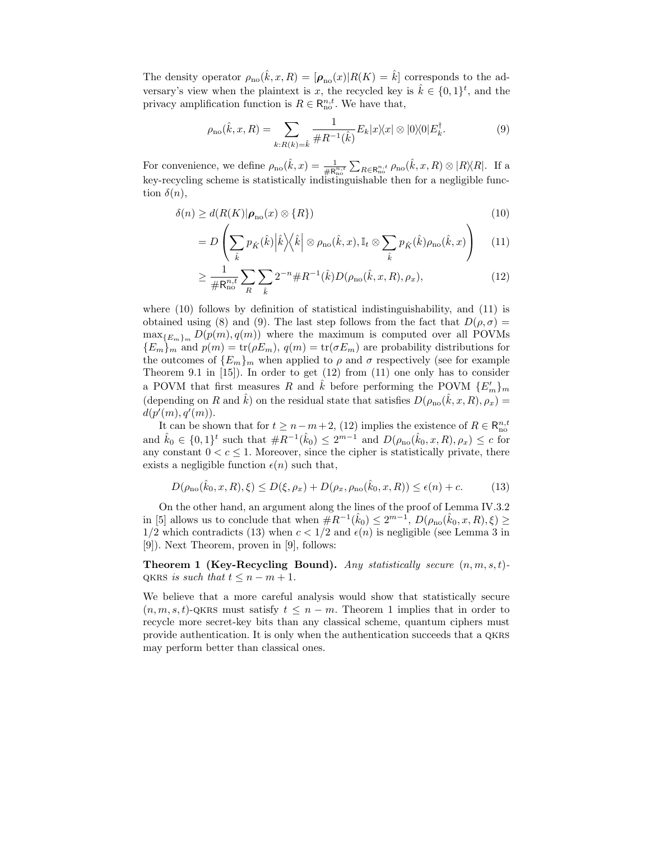The density operator  $\rho_{\rm no}(\hat{k}, x, R) = [\rho_{\rm no}(x) | R(K) = \hat{k}]$  corresponds to the adversary's view when the plaintext is x, the recycled key is  $\hat{k} \in \{0,1\}^t$ , and the privacy amplification function is  $R \in \mathsf{R}_{\text{no}}^{n,t}$ . We have that,

$$
\rho_{\rm no}(\hat{k}, x, R) = \sum_{k: R(k) = \hat{k}} \frac{1}{\#R^{-1}(\hat{k})} E_k |x\rangle\langle x| \otimes |0\rangle\langle 0| E_k^{\dagger}.
$$
\n(9)

For convenience, we define  $\rho_{\rm no}(\hat{k},x) = \frac{1}{\# \mathbf{R}^2}$  $\frac{1}{\# \mathsf{R}_{\rm no}^{n,t}} \sum_{R \in \mathsf{R}_{\rm no}^{n,t}} \rho_{\rm no}(\hat{k}, x, R) \otimes |R\rangle\!\langle R|$ . If a key-recycling scheme is statistically indistinguishable then for a negligible function  $\delta(n)$ ,

$$
\delta(n) \ge d(R(K)|\rho_{\rm no}(x) \otimes \{R\})
$$
\n(10)

$$
= D\left(\sum_{\hat{k}} p_{\hat{K}}(\hat{k}) \Big| \hat{k} \Big| \Big\langle \hat{k} \Big| \otimes \rho_{\text{no}}(\hat{k}, x), \mathbb{I}_t \otimes \sum_{\hat{k}} p_{\hat{K}}(\hat{k}) \rho_{\text{no}}(\hat{k}, x) \right) \tag{11}
$$

$$
\geq \frac{1}{\# \mathsf{R}_{\text{no}}^{n,t}} \sum_{R} \sum_{\hat{k}} 2^{-n} \# R^{-1}(\hat{k}) D(\rho_{\text{no}}(\hat{k}, x, R), \rho_x), \tag{12}
$$

where (10) follows by definition of statistical indistinguishability, and (11) is obtained using (8) and (9). The last step follows from the fact that  $D(\rho, \sigma)$  =  $\max_{\{E_m\}_m} D(p(m), q(m))$  where the maximum is computed over all POVMs  ${E_m}_m$  and  $p(m) = \text{tr}(\rho E_m)$ ,  $q(m) = \text{tr}(\sigma E_m)$  are probability distributions for the outcomes of  ${E_m}_m$  when applied to  $\rho$  and  $\sigma$  respectively (see for example Theorem 9.1 in [15]). In order to get (12) from (11) one only has to consider a POVM that first measures R and  $\hat{k}$  before performing the POVM  $\{E'_{m}\}_{m}$ (depending on R and  $\hat{k}$ ) on the residual state that satisfies  $D(\rho_{\text{no}}(\hat{k}, x, R), \rho_x) =$  $d(p'(m), q'(m)).$ 

It can be shown that for  $t \geq n-m+2$ , (12) implies the existence of  $R \in \mathsf{R}_{\text{no}}^{n,t}$ and  $\hat{k}_0 \in \{0,1\}^t$  such that  $\#R^{-1}(\hat{k}_0) \leq 2^{m-1}$  and  $D(\rho_{\text{no}}(\hat{k}_0, x, R), \rho_x) \leq c$  for any constant  $0 < c \leq 1$ . Moreover, since the cipher is statistically private, there exists a negligible function  $\epsilon(n)$  such that,

$$
D(\rho_{\rm no}(\hat{k}_0, x, R), \xi) \le D(\xi, \rho_x) + D(\rho_x, \rho_{\rm no}(\hat{k}_0, x, R)) \le \epsilon(n) + c. \tag{13}
$$

On the other hand, an argument along the lines of the proof of Lemma IV.3.2 in [5] allows us to conclude that when  $\#R^{-1}(\hat{k}_0) \leq 2^{m-1}$ ,  $D(\rho_{\text{no}}(\hat{k}_0, x, R), \xi) \geq$  $1/2$  which contradicts (13) when  $c < 1/2$  and  $\epsilon(n)$  is negligible (see Lemma 3 in [9]). Next Theorem, proven in [9], follows:

**Theorem 1 (Key-Recycling Bound).** Any statistically secure  $(n, m, s, t)$ -QKRS is such that  $t \leq n - m + 1$ .

We believe that a more careful analysis would show that statistically secure  $(n, m, s, t)$ -QKRS must satisfy  $t \leq n - m$ . Theorem 1 implies that in order to recycle more secret-key bits than any classical scheme, quantum ciphers must provide authentication. It is only when the authentication succeeds that a qkrs may perform better than classical ones.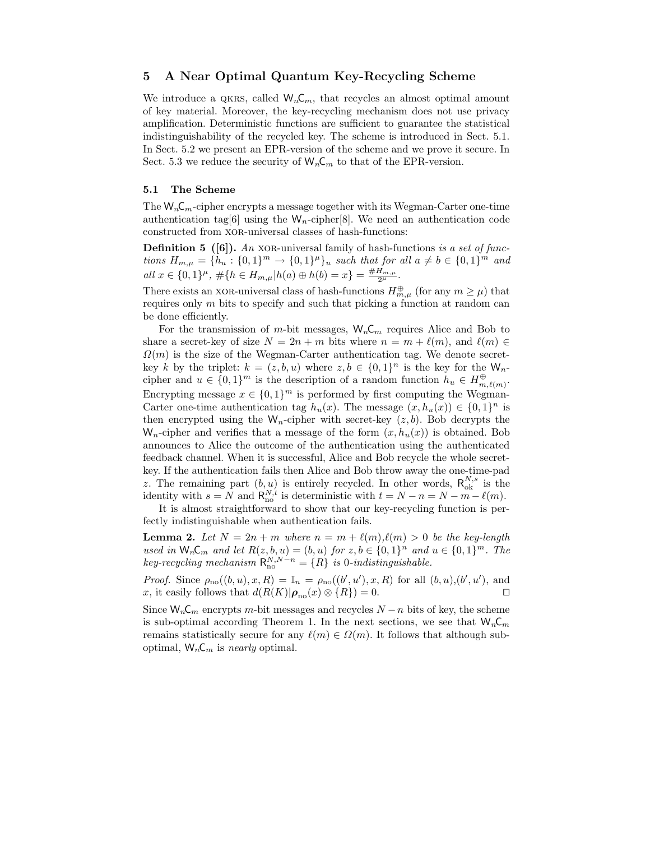# 5 A Near Optimal Quantum Key-Recycling Scheme

We introduce a QKRS, called  $W<sub>n</sub>C<sub>m</sub>$ , that recycles an almost optimal amount of key material. Moreover, the key-recycling mechanism does not use privacy amplification. Deterministic functions are sufficient to guarantee the statistical indistinguishability of the recycled key. The scheme is introduced in Sect. 5.1. In Sect. 5.2 we present an EPR-version of the scheme and we prove it secure. In Sect. 5.3 we reduce the security of  $\mathsf{W}_n\mathsf{C}_m$  to that of the EPR-version.

### 5.1 The Scheme

The  $W_nC_m$ -cipher encrypts a message together with its Wegman-Carter one-time authentication tag[6] using the  $W_n$ -cipher[8]. We need an authentication code constructed from xor-universal classes of hash-functions:

**Definition 5** ([6]). An xor-universal family of hash-functions is a set of functions  $H_{m,\mu} = \{h_u : \{0,1\}^m \to \{0,1\}^{\mu}\}\$ u such that for all  $a \neq b \in \{0,1\}^m$  and all  $x \in \{0,1\}^{\mu}$ ,  $\#\{h \in H_{m,\mu} | h(a) \oplus h(b) = x\} = \frac{\#H_{m,\mu}}{2^{\mu}}$ .

There exists an XOR-universal class of hash-functions  $H_{m,\mu}^{\oplus}$  (for any  $m \geq \mu$ ) that requires only  $m$  bits to specify and such that picking a function at random can be done efficiently.

For the transmission of m-bit messages,  $W_nC_m$  requires Alice and Bob to share a secret-key of size  $N = 2n + m$  bits where  $n = m + \ell(m)$ , and  $\ell(m) \in$  $\Omega(m)$  is the size of the Wegman-Carter authentication tag. We denote secretkey k by the triplet:  $k = (z, b, u)$  where  $z, b \in \{0, 1\}^n$  is the key for the  $\mathsf{W}_{n}$ cipher and  $u \in \{0,1\}^m$  is the description of a random function  $h_u \in H^{\oplus}_{m,\ell(m)}$ . Encrypting message  $x \in \{0,1\}^m$  is performed by first computing the Wegman-Carter one-time authentication tag  $h_u(x)$ . The message  $(x, h_u(x)) \in \{0,1\}^n$  is then encrypted using the  $W_n$ -cipher with secret-key  $(z, b)$ . Bob decrypts the  $W_n$ -cipher and verifies that a message of the form  $(x, h_u(x))$  is obtained. Bob announces to Alice the outcome of the authentication using the authenticated feedback channel. When it is successful, Alice and Bob recycle the whole secretkey. If the authentication fails then Alice and Bob throw away the one-time-pad z. The remaining part  $(b, u)$  is entirely recycled. In other words,  $\mathsf{R}_{\text{ok}}^{N,s}$  is the identity with  $s = N$  and  $\mathsf{R}_{\text{no}}^{N,t}$  is deterministic with  $t = N - n = N - m - \ell(m)$ .

It is almost straightforward to show that our key-recycling function is perfectly indistinguishable when authentication fails.

**Lemma 2.** Let  $N = 2n + m$  where  $n = m + \ell(m), \ell(m) > 0$  be the key-length used in  $\mathsf{W}_n\mathsf{C}_m$  and let  $R(z, b, u) = (b, u)$  for  $z, b \in \{0, 1\}^n$  and  $u \in \{0, 1\}^m$ . The  $key-recycling mechanism R_{no}^{N,N-n} = \{R\}$  is 0-indistinguishable.

*Proof.* Since  $\rho_{\rm no}((b, u), x, R) = \mathbb{I}_n = \rho_{\rm no}((b', u'), x, R)$  for all  $(b, u), (b', u'),$  and x, it easily follows that  $d(R(K)|\rho_{\text{no}}(x) \otimes \{R\}) = 0.$ 

Since  $W_nC_m$  encrypts m-bit messages and recycles  $N - n$  bits of key, the scheme is sub-optimal according Theorem 1. In the next sections, we see that  $W_nC_m$ remains statistically secure for any  $\ell(m) \in \Omega(m)$ . It follows that although suboptimal,  $W_nC_m$  is *nearly* optimal.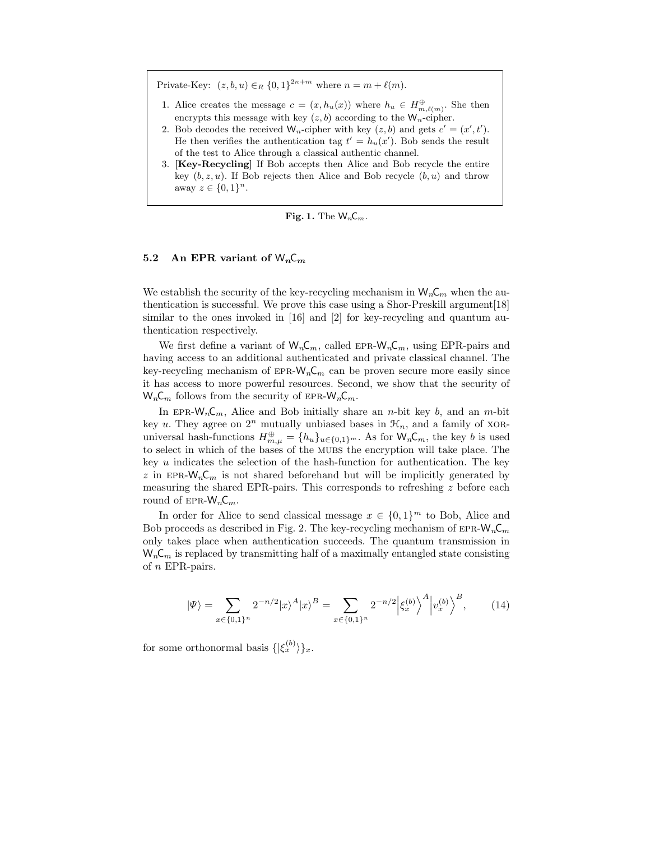Private-Key:  $(z, b, u) \in_R \{0, 1\}^{2n+m}$  where  $n = m + \ell(m)$ .

- 1. Alice creates the message  $c = (x, h_u(x))$  where  $h_u \in H_{m,\ell(m)}^{\oplus}$ . She then encrypts this message with key  $(z, b)$  according to the W<sub>n</sub>-cipher.
- 2. Bob decodes the received  $\mathsf{W}_n$ -cipher with key  $(z, b)$  and gets  $c' = (x', t')$ . He then verifies the authentication tag  $t' = h_u(x')$ . Bob sends the result of the test to Alice through a classical authentic channel.
- 3. [Key-Recycling] If Bob accepts then Alice and Bob recycle the entire key  $(b, z, u)$ . If Bob rejects then Alice and Bob recycle  $(b, u)$  and throw away  $z \in \{0, 1\}^n$ .

**Fig. 1.** The 
$$
W_nC_m
$$
.

# 5.2 An EPR variant of  $W_nC_m$

We establish the security of the key-recycling mechanism in  $\mathsf{W}_n\mathsf{C}_m$  when the authentication is successful. We prove this case using a Shor-Preskill argument[18] similar to the ones invoked in [16] and [2] for key-recycling and quantum authentication respectively.

We first define a variant of  $\mathsf{W}_n\mathsf{C}_m$ , called EPR- $\mathsf{W}_n\mathsf{C}_m$ , using EPR-pairs and having access to an additional authenticated and private classical channel. The key-recycling mechanism of  $EPR-W_nC_m$  can be proven secure more easily since it has access to more powerful resources. Second, we show that the security of  $W_nC_m$  follows from the security of EPR- $W_nC_m$ .

In EPR- $W_nC_m$ , Alice and Bob initially share an *n*-bit key b, and an *m*-bit key u. They agree on  $2^n$  mutually unbiased bases in  $\mathcal{H}_n$ , and a family of XORuniversal hash-functions  $H_{m,\mu}^{\oplus} = \{h_u\}_{u \in \{0,1\}^m}$ . As for  $\mathsf{W}_n\mathsf{C}_m$ , the key b is used to select in which of the bases of the mubs the encryption will take place. The key  $u$  indicates the selection of the hash-function for authentication. The key z in EPR- $W_nC_m$  is not shared beforehand but will be implicitly generated by measuring the shared EPR-pairs. This corresponds to refreshing  $z$  before each round of EPR- $W_nC_m$ .

In order for Alice to send classical message  $x \in \{0,1\}^m$  to Bob, Alice and Bob proceeds as described in Fig. 2. The key-recycling mechanism of  $EPR-W_nC_m$ only takes place when authentication succeeds. The quantum transmission in  $W_nC_m$  is replaced by transmitting half of a maximally entangled state consisting of  $n$  EPR-pairs.

$$
|\Psi\rangle = \sum_{x \in \{0,1\}^n} 2^{-n/2} |x\rangle^A |x\rangle^B = \sum_{x \in \{0,1\}^n} 2^{-n/2} \left| \xi_x^{(b)} \right\rangle^A \left| v_x^{(b)} \right\rangle^B, \tag{14}
$$

for some orthonormal basis  $\{|\xi_x^{(b)}\rangle\}_x$ .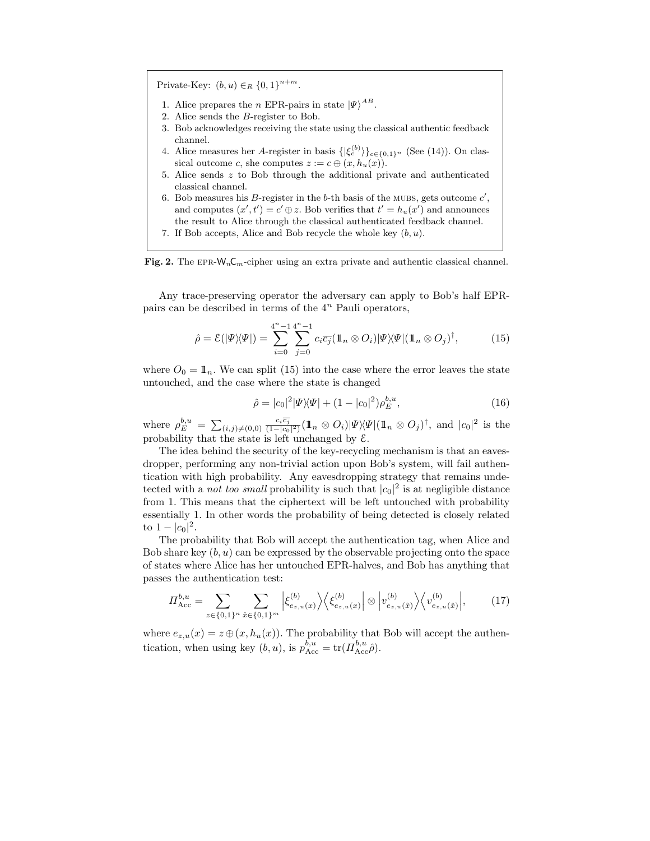Private-Key:  $(b, u) \in_R \{0, 1\}^{n+m}$ .

- 1. Alice prepares the *n* EPR-pairs in state  $|\Psi\rangle^{AB}$ .
- 2. Alice sends the B-register to Bob.
- 3. Bob acknowledges receiving the state using the classical authentic feedback channel.
- 4. Alice measures her A-register in basis  $\{\xi_c^{(b)}\}_{c \in \{0,1\}^n}$  (See (14)). On classical outcome c, she computes  $z := c \oplus (x, h_u(x))$ .
- 5. Alice sends z to Bob through the additional private and authenticated classical channel.
- 6. Bob measures his B-register in the b-th basis of the MUBS, gets outcome  $c'$ , and computes  $(x', t') = c' \oplus z$ . Bob verifies that  $t' = h_u(x')$  and announces the result to Alice through the classical authenticated feedback channel.
- 7. If Bob accepts, Alice and Bob recycle the whole key  $(b, u)$ .

Fig. 2. The EPR- $W_nC_m$ -cipher using an extra private and authentic classical channel.

Any trace-preserving operator the adversary can apply to Bob's half EPRpairs can be described in terms of the  $4^n$  Pauli operators,

$$
\hat{\rho} = \mathcal{E}(|\Psi\rangle\langle\Psi|) = \sum_{i=0}^{4^n - 1} \sum_{j=0}^{4^n - 1} c_i \overline{c_j} (\mathbb{1}_n \otimes O_i) |\Psi\rangle\langle\Psi| (\mathbb{1}_n \otimes O_j)^{\dagger}, \tag{15}
$$

where  $O_0 = \mathbb{1}_n$ . We can split (15) into the case where the error leaves the state untouched, and the case where the state is changed

$$
\hat{\rho} = |c_0|^2 |\Psi| \langle \Psi | + (1 - |c_0|^2) \rho_E^{b,u}, \qquad (16)
$$

where  $\rho_E^{b,u} = \sum_{(i,j) \neq (0,0)} \frac{c_i \overline{c_j}}{(1-|c_0|)}$  $\frac{c_i c_j}{(1-|c_0|^2)} (\mathbb{1}_n \otimes O_i) | \Psi \rangle \! \langle \Psi | (\mathbb{1}_n \otimes O_j)^\dagger$ , and  $|c_0|^2$  is the probability that the state is left unchanged by  $\mathcal{E}$ .

The idea behind the security of the key-recycling mechanism is that an eavesdropper, performing any non-trivial action upon Bob's system, will fail authentication with high probability. Any eavesdropping strategy that remains undetected with a *not too small* probability is such that  $|c_0|^2$  is at negligible distance from 1. This means that the ciphertext will be left untouched with probability essentially 1. In other words the probability of being detected is closely related to  $1 - |c_0|^2$ .

The probability that Bob will accept the authentication tag, when Alice and Bob share key  $(b, u)$  can be expressed by the observable projecting onto the space of states where Alice has her untouched EPR-halves, and Bob has anything that passes the authentication test:

$$
\Pi_{\text{Acc}}^{b,u} = \sum_{z \in \{0,1\}^n} \sum_{\hat{x} \in \{0,1\}^m} \left| \xi_{e_{z,u}(x)}^{(b)} \right| \left\langle \xi_{e_{z,u}(x)}^{(b)} \right| \otimes \left| v_{e_{z,u}(\hat{x})}^{(b)} \right\rangle \left\langle v_{e_{z,u}(\hat{x})}^{(b)} \right|, \tag{17}
$$

where  $e_{z,u}(x) = z \oplus (x, h_u(x))$ . The probability that Bob will accept the authentication, when using key  $(b, u)$ , is  $p_{Acc}^{b, u} = \text{tr}(\Pi_{Acc}^{b, u} \hat{\rho})$ .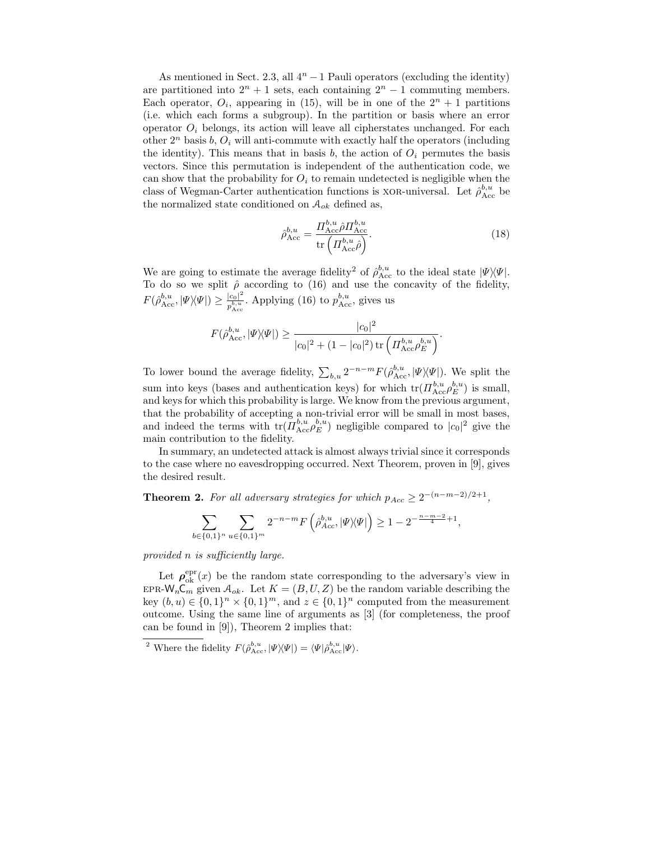As mentioned in Sect. 2.3, all  $4^n - 1$  Pauli operators (excluding the identity) are partitioned into  $2^n + 1$  sets, each containing  $2^n - 1$  commuting members. Each operator,  $O_i$ , appearing in (15), will be in one of the  $2^n + 1$  partitions (i.e. which each forms a subgroup). In the partition or basis where an error operator  $O_i$  belongs, its action will leave all cipherstates unchanged. For each other  $2^n$  basis b,  $O_i$  will anti-commute with exactly half the operators (including the identity). This means that in basis b, the action of  $O_i$  permutes the basis vectors. Since this permutation is independent of the authentication code, we can show that the probability for  $O_i$  to remain undetected is negligible when the class of Wegman-Carter authentication functions is xor-universal. Let  $\hat{\rho}_{Acc}^{b,u}$  be the normalized state conditioned on  $A_{ok}$  defined as,

$$
\hat{\rho}_{\text{Acc}}^{b,u} = \frac{\Pi_{\text{Acc}}^{b,u} \hat{\rho} \Pi_{\text{Acc}}^{b,u}}{\text{tr}\left(\Pi_{\text{Acc}}^{b,u} \hat{\rho}\right)}.
$$
\n(18)

We are going to estimate the average fidelity<sup>2</sup> of  $\rho_{\text{Acc}}^{b,u}$  to the ideal state  $|\Psi\rangle\langle\Psi|$ . To do so we split  $\hat{\rho}$  according to (16) and use the concavity of the fidelity,  $F(\hat{\rho}_{\rm Acc}^{b,u},|\Psi\rangle\langle\Psi|)\geq \frac{|c_0|^2}{n^{b,u}}$  $\frac{|c_0|^2}{p_{\text{Acc}}^{b,u}}$ . Applying (16) to  $p_{\text{Acc}}^{b,u}$ , gives us

$$
F(\hat{\rho}_{Acc}^{b,u}, |\Psi\rangle\langle\Psi|) \ge \frac{|c_0|^2}{|c_0|^2 + (1 - |c_0|^2) \operatorname{tr} \left(\prod_{Acc}^{b,u} \rho_E^{b,u}\right)}.
$$

To lower bound the average fidelity,  $\sum_{b,u} 2^{-n-m} F(\hat{\rho}_{Acc}^{b,u}, |\Psi\rangle \langle \Psi|)$ . We split the sum into keys (bases and authentication keys) for which  $tr(\Pi_{\text{Acc}}^{b,u} \rho_E^{b,u})$  is small, and keys for which this probability is large. We know from the previous argument, that the probability of accepting a non-trivial error will be small in most bases, and indeed the terms with  $tr(\overline{H}_{\text{Acc}}^{b,u} \rho_E^{b,u})$  negligible compared to  $|c_0|^2$  give the main contribution to the fidelity.

In summary, an undetected attack is almost always trivial since it corresponds to the case where no eavesdropping occurred. Next Theorem, proven in [9], gives the desired result.

**Theorem 2.** For all adversary strategies for which  $p_{Acc} \geq 2^{-(n-m-2)/2+1}$ ,

$$
\sum_{b \in \{0,1\}^n} \sum_{u \in \{0,1\}^m} 2^{-n-m} F\left(\hat{\rho}_{Acc}^{b,u}, |\Psi\rangle \langle \Psi|\right) \ge 1 - 2^{-\frac{n-m-2}{4}+1},
$$

provided n is sufficiently large.

Let  $\rho_{ok}^{\text{epr}}(x)$  be the random state corresponding to the adversary's view in EPR- $\mathsf{W}_n\mathsf{C}_m$  given  $\mathcal{A}_{ok}$ . Let  $K = (B, U, Z)$  be the random variable describing the key  $(b, u) \in \{0, 1\}^n \times \{0, 1\}^m$ , and  $z \in \{0, 1\}^n$  computed from the measurement outcome. Using the same line of arguments as [3] (for completeness, the proof can be found in [9]), Theorem 2 implies that:

<sup>&</sup>lt;sup>2</sup> Where the fidelity  $F(\hat{\rho}_{\text{Acc}}^{b,u}, |\Psi\rangle \langle \Psi|) = \langle \Psi | \hat{\rho}_{\text{Acc}}^{b,u} | \Psi \rangle$ .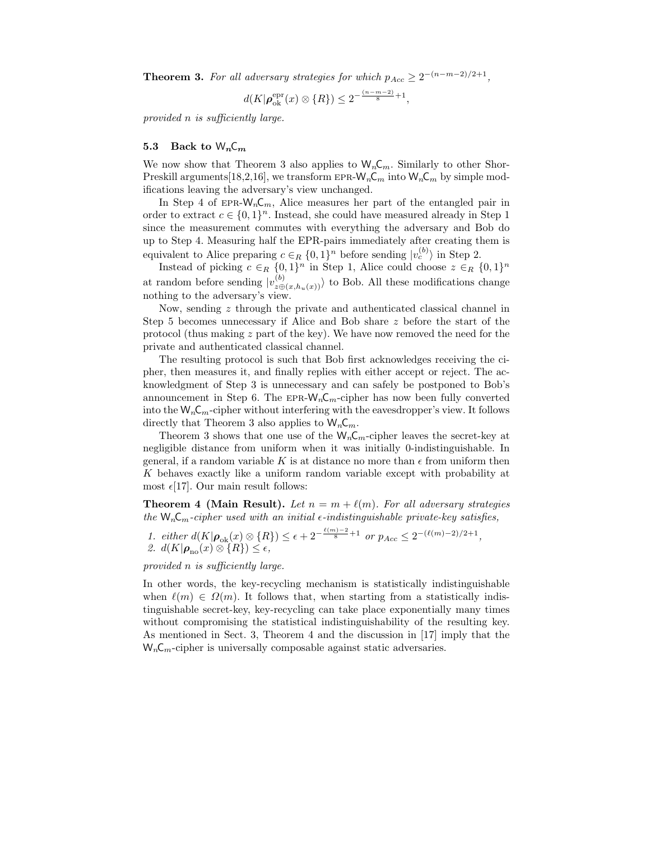**Theorem 3.** For all adversary strategies for which  $p_{Acc} \geq 2^{-(n-m-2)/2+1}$ ,

$$
d(K|\boldsymbol{\rho}_{\mathsf{ok}}^{\mathsf{epr}}(x)\otimes\{R\}) \leq 2^{-\frac{(n-m-2)}{8}+1},
$$

provided n is sufficiently large.

# 5.3 Back to  $W_nC_m$

We now show that Theorem 3 also applies to  $W_nC_m$ . Similarly to other Shor-Preskill arguments [18,2,16], we transform EPR- $W_nC_m$  into  $W_nC_m$  by simple modifications leaving the adversary's view unchanged.

In Step 4 of  $EPR-W_nC_m$ , Alice measures her part of the entangled pair in order to extract  $c \in \{0,1\}^n$ . Instead, she could have measured already in Step 1 since the measurement commutes with everything the adversary and Bob do up to Step 4. Measuring half the EPR-pairs immediately after creating them is equivalent to Alice preparing  $c \in_R \{0,1\}^n$  before sending  $|v_c^{(b)}\rangle$  in Step 2.

Instead of picking  $c \in_R \{0,1\}^n$  in Step 1, Alice could choose  $z \in_R \{0,1\}^n$ at random before sending  $|v_{z\oplus(x,h_u(x))}^{(b)}\rangle$  to Bob. All these modifications change nothing to the adversary's view.

Now, sending z through the private and authenticated classical channel in Step 5 becomes unnecessary if Alice and Bob share z before the start of the protocol (thus making  $z$  part of the key). We have now removed the need for the private and authenticated classical channel.

The resulting protocol is such that Bob first acknowledges receiving the cipher, then measures it, and finally replies with either accept or reject. The acknowledgment of Step 3 is unnecessary and can safely be postponed to Bob's announcement in Step 6. The EPR- $W_nC_m$ -cipher has now been fully converted into the  $W_nC_m$ -cipher without interfering with the eavesdropper's view. It follows directly that Theorem 3 also applies to  $W_nC_m$ .

Theorem 3 shows that one use of the  $W_nC_m$ -cipher leaves the secret-key at negligible distance from uniform when it was initially 0-indistinguishable. In general, if a random variable K is at distance no more than  $\epsilon$  from uniform then K behaves exactly like a uniform random variable except with probability at most  $\epsilon$ [17]. Our main result follows:

**Theorem 4 (Main Result).** Let  $n = m + \ell(m)$ . For all adversary strategies the  $W_nC_m$ -cipher used with an initial  $\epsilon$ -indistinguishable private-key satisfies,

1. either  $d(K|\rho_{ok}(x) \otimes \{R\}) \leq \epsilon + 2^{-\frac{\ell(m)-2}{8}+1}$  or  $p_{Acc} \leq 2^{-(\ell(m)-2)/2+1}$ , 2.  $d(K|\boldsymbol{\rho}_{\rm no}(x)\otimes\{R\}) \leq \epsilon$ ,

provided n is sufficiently large.

In other words, the key-recycling mechanism is statistically indistinguishable when  $\ell(m) \in \Omega(m)$ . It follows that, when starting from a statistically indistinguishable secret-key, key-recycling can take place exponentially many times without compromising the statistical indistinguishability of the resulting key. As mentioned in Sect. 3, Theorem 4 and the discussion in [17] imply that the  $W_nC_m$ -cipher is universally composable against static adversaries.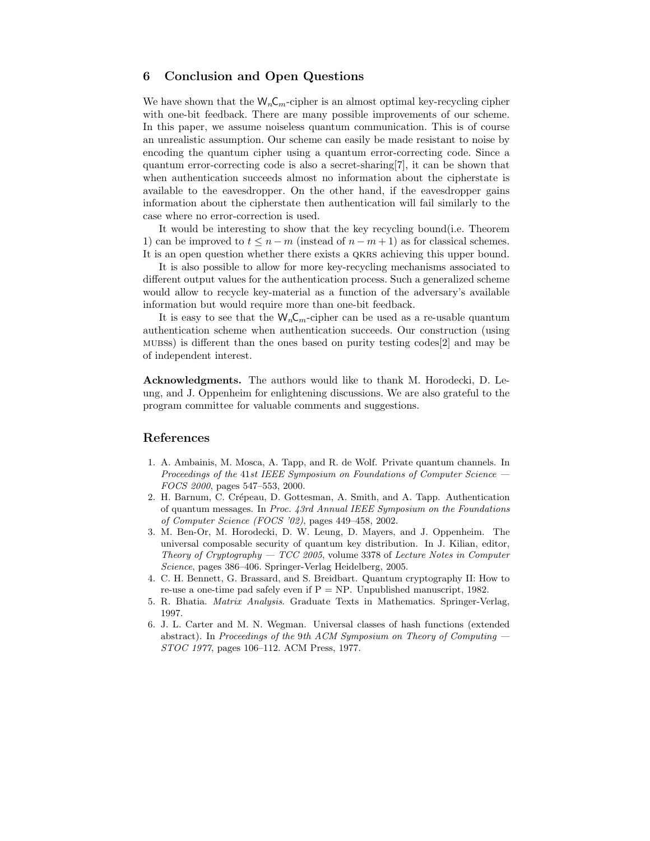# 6 Conclusion and Open Questions

We have shown that the  $W_nC_m$ -cipher is an almost optimal key-recycling cipher with one-bit feedback. There are many possible improvements of our scheme. In this paper, we assume noiseless quantum communication. This is of course an unrealistic assumption. Our scheme can easily be made resistant to noise by encoding the quantum cipher using a quantum error-correcting code. Since a quantum error-correcting code is also a secret-sharing[7], it can be shown that when authentication succeeds almost no information about the cipherstate is available to the eavesdropper. On the other hand, if the eavesdropper gains information about the cipherstate then authentication will fail similarly to the case where no error-correction is used.

It would be interesting to show that the key recycling bound(i.e. Theorem 1) can be improved to  $t \leq n - m$  (instead of  $n - m + 1$ ) as for classical schemes. It is an open question whether there exists a qkrs achieving this upper bound.

It is also possible to allow for more key-recycling mechanisms associated to different output values for the authentication process. Such a generalized scheme would allow to recycle key-material as a function of the adversary's available information but would require more than one-bit feedback.

It is easy to see that the  $W_nC_m$ -cipher can be used as a re-usable quantum authentication scheme when authentication succeeds. Our construction (using mubss) is different than the ones based on purity testing codes[2] and may be of independent interest.

Acknowledgments. The authors would like to thank M. Horodecki, D. Leung, and J. Oppenheim for enlightening discussions. We are also grateful to the program committee for valuable comments and suggestions.

## References

- 1. A. Ambainis, M. Mosca, A. Tapp, and R. de Wolf. Private quantum channels. In Proceedings of the 41st IEEE Symposium on Foundations of Computer Science – FOCS 2000, pages 547–553, 2000.
- 2. H. Barnum, C. Crépeau, D. Gottesman, A. Smith, and A. Tapp. Authentication of quantum messages. In Proc. 43rd Annual IEEE Symposium on the Foundations of Computer Science (FOCS '02), pages 449–458, 2002.
- 3. M. Ben-Or, M. Horodecki, D. W. Leung, D. Mayers, and J. Oppenheim. The universal composable security of quantum key distribution. In J. Kilian, editor, Theory of Cryptography  $-$  TCC 2005, volume 3378 of Lecture Notes in Computer Science, pages 386–406. Springer-Verlag Heidelberg, 2005.
- 4. C. H. Bennett, G. Brassard, and S. Breidbart. Quantum cryptography II: How to re-use a one-time pad safely even if  $P = NP$ . Unpublished manuscript, 1982.
- 5. R. Bhatia. Matrix Analysis. Graduate Texts in Mathematics. Springer-Verlag, 1997.
- 6. J. L. Carter and M. N. Wegman. Universal classes of hash functions (extended abstract). In Proceedings of the 9th ACM Symposium on Theory of Computing  $\overline{\phantom{a}}$ STOC 1977, pages 106–112. ACM Press, 1977.